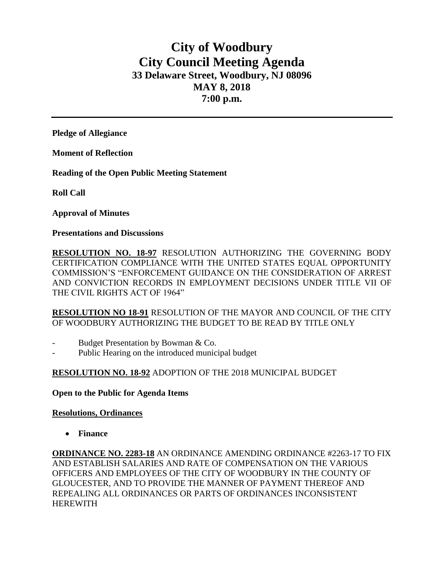# **City of Woodbury City Council Meeting Agenda 33 Delaware Street, Woodbury, NJ 08096 MAY 8, 2018 7:00 p.m.**

**Pledge of Allegiance**

**Moment of Reflection**

**Reading of the Open Public Meeting Statement**

**Roll Call**

**Approval of Minutes**

**Presentations and Discussions**

**RESOLUTION NO. 18-97** RESOLUTION AUTHORIZING THE GOVERNING BODY CERTIFICATION COMPLIANCE WITH THE UNITED STATES EQUAL OPPORTUNITY COMMISSION'S "ENFORCEMENT GUIDANCE ON THE CONSIDERATION OF ARREST AND CONVICTION RECORDS IN EMPLOYMENT DECISIONS UNDER TITLE VII OF THE CIVIL RIGHTS ACT OF 1964"

**RESOLUTION NO 18-91** RESOLUTION OF THE MAYOR AND COUNCIL OF THE CITY OF WOODBURY AUTHORIZING THE BUDGET TO BE READ BY TITLE ONLY

- Budget Presentation by Bowman & Co.
- Public Hearing on the introduced municipal budget

## **RESOLUTION NO. 18-92** ADOPTION OF THE 2018 MUNICIPAL BUDGET

**Open to the Public for Agenda Items**

#### **Resolutions, Ordinances**

**Finance** 

**ORDINANCE NO. 2283-18** AN ORDINANCE AMENDING ORDINANCE #2263-17 TO FIX AND ESTABLISH SALARIES AND RATE OF COMPENSATION ON THE VARIOUS OFFICERS AND EMPLOYEES OF THE CITY OF WOODBURY IN THE COUNTY OF GLOUCESTER, AND TO PROVIDE THE MANNER OF PAYMENT THEREOF AND REPEALING ALL ORDINANCES OR PARTS OF ORDINANCES INCONSISTENT HEREWITH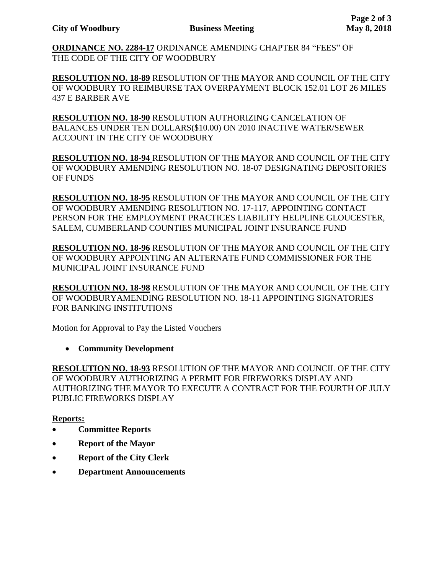**ORDINANCE NO. 2284-17** ORDINANCE AMENDING CHAPTER 84 "FEES" OF THE CODE OF THE CITY OF WOODBURY

**RESOLUTION NO. 18-89** RESOLUTION OF THE MAYOR AND COUNCIL OF THE CITY OF WOODBURY TO REIMBURSE TAX OVERPAYMENT BLOCK 152.01 LOT 26 MILES 437 E BARBER AVE

**RESOLUTION NO. 18-90** RESOLUTION AUTHORIZING CANCELATION OF BALANCES UNDER TEN DOLLARS(\$10.00) ON 2010 INACTIVE WATER/SEWER ACCOUNT IN THE CITY OF WOODBURY

**RESOLUTION NO. 18-94** RESOLUTION OF THE MAYOR AND COUNCIL OF THE CITY OF WOODBURY AMENDING RESOLUTION NO. 18-07 DESIGNATING DEPOSITORIES OF FUNDS

**RESOLUTION NO. 18-95** RESOLUTION OF THE MAYOR AND COUNCIL OF THE CITY OF WOODBURY AMENDING RESOLUTION NO. 17-117, APPOINTING CONTACT PERSON FOR THE EMPLOYMENT PRACTICES LIABILITY HELPLINE GLOUCESTER, SALEM, CUMBERLAND COUNTIES MUNICIPAL JOINT INSURANCE FUND

**RESOLUTION NO. 18-96** RESOLUTION OF THE MAYOR AND COUNCIL OF THE CITY OF WOODBURY APPOINTING AN ALTERNATE FUND COMMISSIONER FOR THE MUNICIPAL JOINT INSURANCE FUND

**RESOLUTION NO. 18-98** RESOLUTION OF THE MAYOR AND COUNCIL OF THE CITY OF WOODBURYAMENDING RESOLUTION NO. 18-11 APPOINTING SIGNATORIES FOR BANKING INSTITUTIONS

Motion for Approval to Pay the Listed Vouchers

**Community Development**

**RESOLUTION NO. 18-93** RESOLUTION OF THE MAYOR AND COUNCIL OF THE CITY OF WOODBURY AUTHORIZING A PERMIT FOR FIREWORKS DISPLAY AND AUTHORIZING THE MAYOR TO EXECUTE A CONTRACT FOR THE FOURTH OF JULY PUBLIC FIREWORKS DISPLAY

## **Reports:**

- **Committee Reports**
- **Report of the Mayor**
- **Report of the City Clerk**
- **Department Announcements**